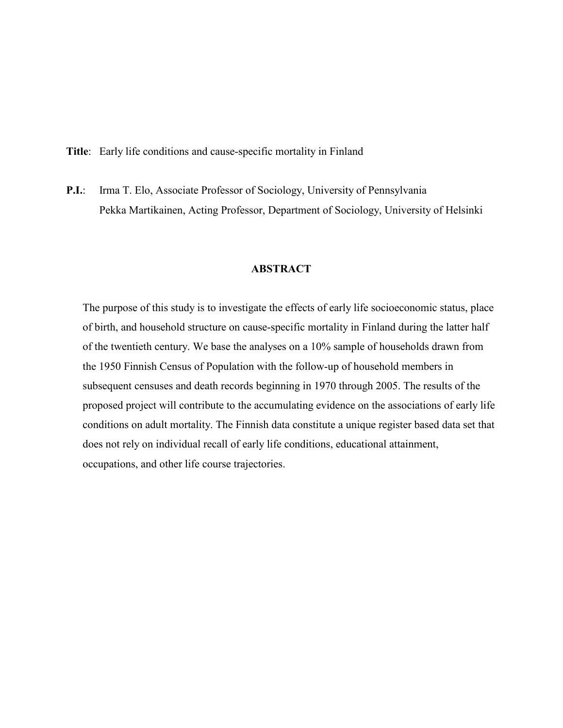Title: Early life conditions and cause-specific mortality in Finland

P.I.: Irma T. Elo, Associate Professor of Sociology, University of Pennsylvania Pekka Martikainen, Acting Professor, Department of Sociology, University of Helsinki

# **ABSTRACT**

The purpose of this study is to investigate the effects of early life socioeconomic status, place of birth, and household structure on cause-specific mortality in Finland during the latter half of the twentieth century. We base the analyses on a 10% sample of households drawn from the 1950 Finnish Census of Population with the follow-up of household members in subsequent censuses and death records beginning in 1970 through 2005. The results of the proposed project will contribute to the accumulating evidence on the associations of early life conditions on adult mortality. The Finnish data constitute a unique register based data set that does not rely on individual recall of early life conditions, educational attainment, occupations, and other life course trajectories.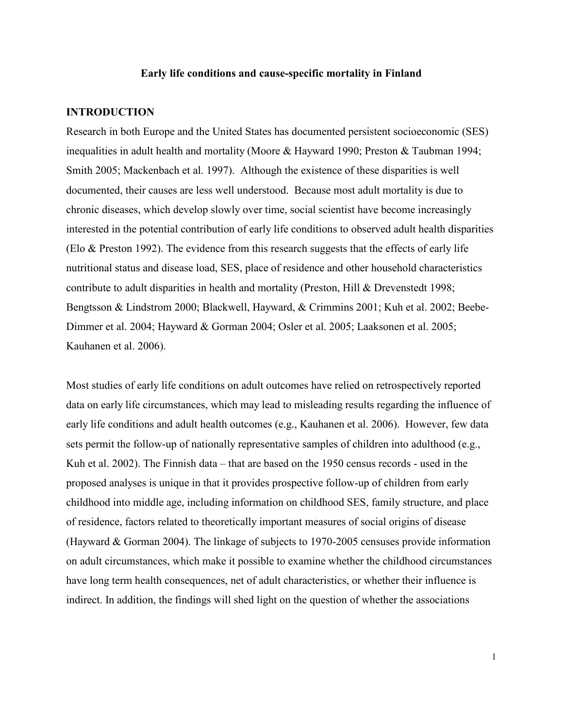### Early life conditions and cause-specific mortality in Finland

### INTRODUCTION

Research in both Europe and the United States has documented persistent socioeconomic (SES) inequalities in adult health and mortality (Moore & Hayward 1990; Preston & Taubman 1994; Smith 2005; Mackenbach et al. 1997). Although the existence of these disparities is well documented, their causes are less well understood. Because most adult mortality is due to chronic diseases, which develop slowly over time, social scientist have become increasingly interested in the potential contribution of early life conditions to observed adult health disparities (Elo & Preston 1992). The evidence from this research suggests that the effects of early life nutritional status and disease load, SES, place of residence and other household characteristics contribute to adult disparities in health and mortality (Preston, Hill & Drevenstedt 1998; Bengtsson & Lindstrom 2000; Blackwell, Hayward, & Crimmins 2001; Kuh et al. 2002; Beebe-Dimmer et al. 2004; Hayward & Gorman 2004; Osler et al. 2005; Laaksonen et al. 2005; Kauhanen et al. 2006).

Most studies of early life conditions on adult outcomes have relied on retrospectively reported data on early life circumstances, which may lead to misleading results regarding the influence of early life conditions and adult health outcomes (e.g., Kauhanen et al. 2006). However, few data sets permit the follow-up of nationally representative samples of children into adulthood (e.g., Kuh et al. 2002). The Finnish data – that are based on the 1950 census records - used in the proposed analyses is unique in that it provides prospective follow-up of children from early childhood into middle age, including information on childhood SES, family structure, and place of residence, factors related to theoretically important measures of social origins of disease (Hayward & Gorman 2004). The linkage of subjects to 1970-2005 censuses provide information on adult circumstances, which make it possible to examine whether the childhood circumstances have long term health consequences, net of adult characteristics, or whether their influence is indirect. In addition, the findings will shed light on the question of whether the associations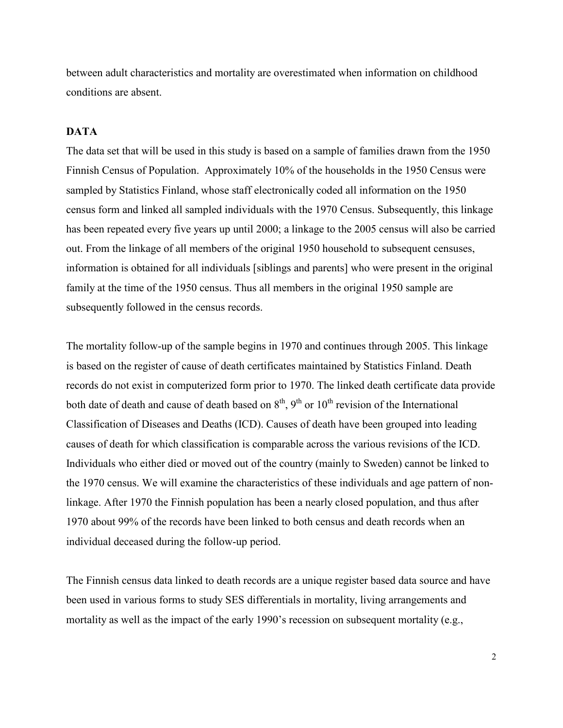between adult characteristics and mortality are overestimated when information on childhood conditions are absent.

# DATA

The data set that will be used in this study is based on a sample of families drawn from the 1950 Finnish Census of Population. Approximately 10% of the households in the 1950 Census were sampled by Statistics Finland, whose staff electronically coded all information on the 1950 census form and linked all sampled individuals with the 1970 Census. Subsequently, this linkage has been repeated every five years up until 2000; a linkage to the 2005 census will also be carried out. From the linkage of all members of the original 1950 household to subsequent censuses, information is obtained for all individuals [siblings and parents] who were present in the original family at the time of the 1950 census. Thus all members in the original 1950 sample are subsequently followed in the census records.

The mortality follow-up of the sample begins in 1970 and continues through 2005. This linkage is based on the register of cause of death certificates maintained by Statistics Finland. Death records do not exist in computerized form prior to 1970. The linked death certificate data provide both date of death and cause of death based on  $8<sup>th</sup>$ ,  $9<sup>th</sup>$  or  $10<sup>th</sup>$  revision of the International Classification of Diseases and Deaths (ICD). Causes of death have been grouped into leading causes of death for which classification is comparable across the various revisions of the ICD. Individuals who either died or moved out of the country (mainly to Sweden) cannot be linked to the 1970 census. We will examine the characteristics of these individuals and age pattern of nonlinkage. After 1970 the Finnish population has been a nearly closed population, and thus after 1970 about 99% of the records have been linked to both census and death records when an individual deceased during the follow-up period.

The Finnish census data linked to death records are a unique register based data source and have been used in various forms to study SES differentials in mortality, living arrangements and mortality as well as the impact of the early 1990's recession on subsequent mortality (e.g.,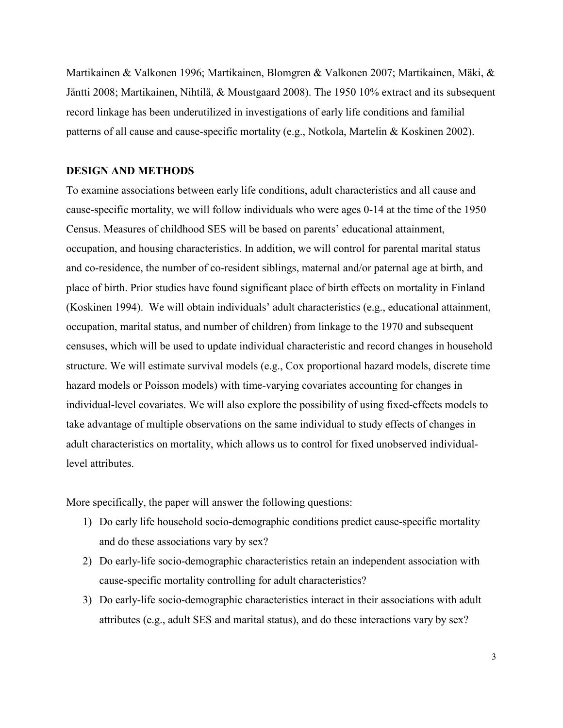Martikainen & Valkonen 1996; Martikainen, Blomgren & Valkonen 2007; Martikainen, Mäki, & Jäntti 2008; Martikainen, Nihtilä, & Moustgaard 2008). The 1950 10% extract and its subsequent record linkage has been underutilized in investigations of early life conditions and familial patterns of all cause and cause-specific mortality (e.g., Notkola, Martelin & Koskinen 2002).

### DESIGN AND METHODS

To examine associations between early life conditions, adult characteristics and all cause and cause-specific mortality, we will follow individuals who were ages 0-14 at the time of the 1950 Census. Measures of childhood SES will be based on parents' educational attainment, occupation, and housing characteristics. In addition, we will control for parental marital status and co-residence, the number of co-resident siblings, maternal and/or paternal age at birth, and place of birth. Prior studies have found significant place of birth effects on mortality in Finland (Koskinen 1994). We will obtain individuals' adult characteristics (e.g., educational attainment, occupation, marital status, and number of children) from linkage to the 1970 and subsequent censuses, which will be used to update individual characteristic and record changes in household structure. We will estimate survival models (e.g., Cox proportional hazard models, discrete time hazard models or Poisson models) with time-varying covariates accounting for changes in individual-level covariates. We will also explore the possibility of using fixed-effects models to take advantage of multiple observations on the same individual to study effects of changes in adult characteristics on mortality, which allows us to control for fixed unobserved individuallevel attributes.

More specifically, the paper will answer the following questions:

- 1) Do early life household socio-demographic conditions predict cause-specific mortality and do these associations vary by sex?
- 2) Do early-life socio-demographic characteristics retain an independent association with cause-specific mortality controlling for adult characteristics?
- 3) Do early-life socio-demographic characteristics interact in their associations with adult attributes (e.g., adult SES and marital status), and do these interactions vary by sex?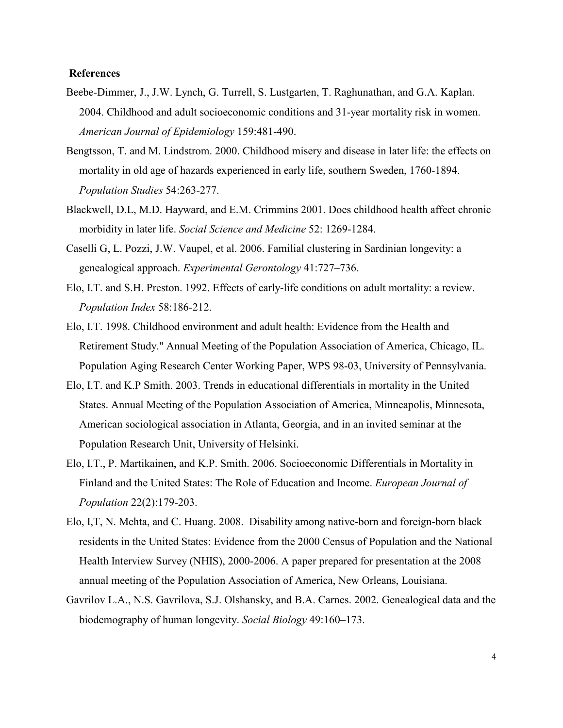## **References**

- Beebe-Dimmer, J., J.W. Lynch, G. Turrell, S. Lustgarten, T. Raghunathan, and G.A. Kaplan. 2004. Childhood and adult socioeconomic conditions and 31-year mortality risk in women. American Journal of Epidemiology 159:481-490.
- Bengtsson, T. and M. Lindstrom. 2000. Childhood misery and disease in later life: the effects on mortality in old age of hazards experienced in early life, southern Sweden, 1760-1894. Population Studies 54:263-277.
- Blackwell, D.L, M.D. Hayward, and E.M. Crimmins 2001. Does childhood health affect chronic morbidity in later life. Social Science and Medicine 52: 1269-1284.
- Caselli G, L. Pozzi, J.W. Vaupel, et al. 2006. Familial clustering in Sardinian longevity: a genealogical approach. Experimental Gerontology 41:727–736.
- Elo, I.T. and S.H. Preston. 1992. Effects of early-life conditions on adult mortality: a review. Population Index 58:186-212.
- Elo, I.T. 1998. Childhood environment and adult health: Evidence from the Health and Retirement Study." Annual Meeting of the Population Association of America, Chicago, IL. Population Aging Research Center Working Paper, WPS 98-03, University of Pennsylvania.
- Elo, I.T. and K.P Smith. 2003. Trends in educational differentials in mortality in the United States. Annual Meeting of the Population Association of America, Minneapolis, Minnesota, American sociological association in Atlanta, Georgia, and in an invited seminar at the Population Research Unit, University of Helsinki.
- Elo, I.T., P. Martikainen, and K.P. Smith. 2006. Socioeconomic Differentials in Mortality in Finland and the United States: The Role of Education and Income. European Journal of Population 22(2):179-203.
- Elo, I,T, N. Mehta, and C. Huang. 2008. Disability among native-born and foreign-born black residents in the United States: Evidence from the 2000 Census of Population and the National Health Interview Survey (NHIS), 2000-2006. A paper prepared for presentation at the 2008 annual meeting of the Population Association of America, New Orleans, Louisiana.
- Gavrilov L.A., N.S. Gavrilova, S.J. Olshansky, and B.A. Carnes. 2002. Genealogical data and the biodemography of human longevity. Social Biology 49:160–173.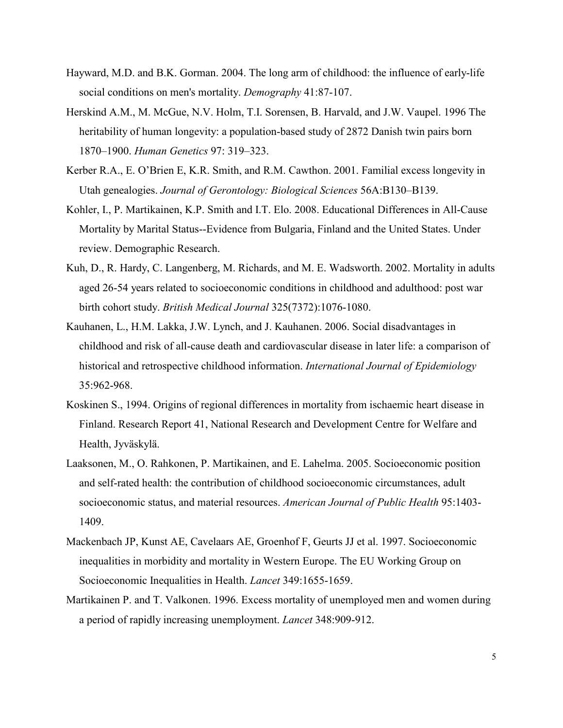- Hayward, M.D. and B.K. Gorman. 2004. The long arm of childhood: the influence of early-life social conditions on men's mortality. Demography 41:87-107.
- Herskind A.M., M. McGue, N.V. Holm, T.I. Sorensen, B. Harvald, and J.W. Vaupel. 1996 The heritability of human longevity: a population-based study of 2872 Danish twin pairs born 1870–1900. Human Genetics 97: 319–323.
- Kerber R.A., E. O'Brien E, K.R. Smith, and R.M. Cawthon. 2001. Familial excess longevity in Utah genealogies. Journal of Gerontology: Biological Sciences 56A:B130–B139.
- Kohler, I., P. Martikainen, K.P. Smith and I.T. Elo. 2008. Educational Differences in All-Cause Mortality by Marital Status--Evidence from Bulgaria, Finland and the United States. Under review. Demographic Research.
- Kuh, D., R. Hardy, C. Langenberg, M. Richards, and M. E. Wadsworth. 2002. Mortality in adults aged 26-54 years related to socioeconomic conditions in childhood and adulthood: post war birth cohort study. British Medical Journal 325(7372):1076-1080.
- Kauhanen, L., H.M. Lakka, J.W. Lynch, and J. Kauhanen. 2006. Social disadvantages in childhood and risk of all-cause death and cardiovascular disease in later life: a comparison of historical and retrospective childhood information. International Journal of Epidemiology 35:962-968.
- Koskinen S., 1994. Origins of regional differences in mortality from ischaemic heart disease in Finland. Research Report 41, National Research and Development Centre for Welfare and Health, Jyväskylä.
- Laaksonen, M., O. Rahkonen, P. Martikainen, and E. Lahelma. 2005. Socioeconomic position and self-rated health: the contribution of childhood socioeconomic circumstances, adult socioeconomic status, and material resources. American Journal of Public Health 95:1403- 1409.
- Mackenbach JP, Kunst AE, Cavelaars AE, Groenhof F, Geurts JJ et al. 1997. Socioeconomic inequalities in morbidity and mortality in Western Europe. The EU Working Group on Socioeconomic Inequalities in Health. Lancet 349:1655-1659.
- Martikainen P. and T. Valkonen. 1996. Excess mortality of unemployed men and women during a period of rapidly increasing unemployment. Lancet 348:909-912.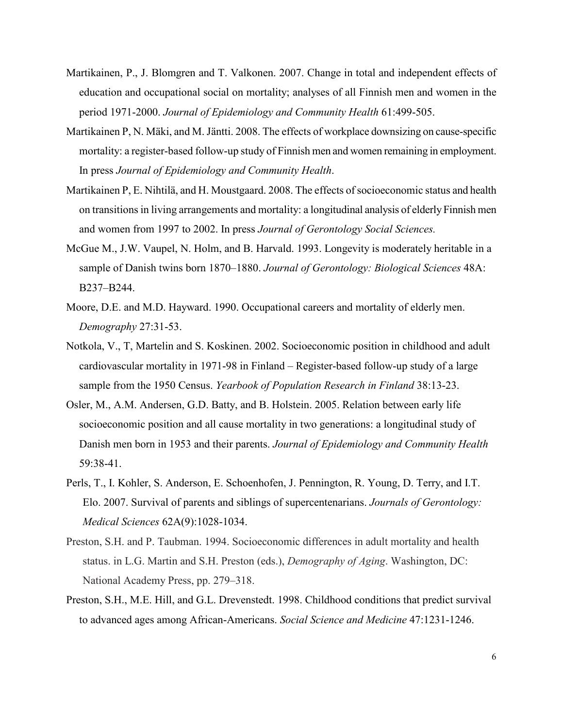- Martikainen, P., J. Blomgren and T. Valkonen. 2007. Change in total and independent effects of education and occupational social on mortality; analyses of all Finnish men and women in the period 1971-2000. Journal of Epidemiology and Community Health 61:499-505.
- Martikainen P, N. Mäki, and M. Jäntti. 2008. The effects of workplace downsizing on cause-specific mortality: a register-based follow-up study of Finnish men and women remaining in employment. In press Journal of Epidemiology and Community Health.
- Martikainen P, E. Nihtilä, and H. Moustgaard. 2008. The effects of socioeconomic status and health on transitions in living arrangements and mortality: a longitudinal analysis of elderly Finnish men and women from 1997 to 2002. In press Journal of Gerontology Social Sciences.
- McGue M., J.W. Vaupel, N. Holm, and B. Harvald. 1993. Longevity is moderately heritable in a sample of Danish twins born 1870–1880. Journal of Gerontology: Biological Sciences 48A: B237–B244.
- Moore, D.E. and M.D. Hayward. 1990. Occupational careers and mortality of elderly men. Demography 27:31-53.
- Notkola, V., T, Martelin and S. Koskinen. 2002. Socioeconomic position in childhood and adult cardiovascular mortality in 1971-98 in Finland – Register-based follow-up study of a large sample from the 1950 Census. Yearbook of Population Research in Finland 38:13-23.
- Osler, M., A.M. Andersen, G.D. Batty, and B. Holstein. 2005. Relation between early life socioeconomic position and all cause mortality in two generations: a longitudinal study of Danish men born in 1953 and their parents. Journal of Epidemiology and Community Health 59:38-41.
- Perls, T., I. Kohler, S. Anderson, E. Schoenhofen, J. Pennington, R. Young, D. Terry, and I.T. Elo. 2007. Survival of parents and siblings of supercentenarians. Journals of Gerontology: Medical Sciences 62A(9):1028-1034.
- Preston, S.H. and P. Taubman. 1994. Socioeconomic differences in adult mortality and health status. in L.G. Martin and S.H. Preston (eds.), Demography of Aging. Washington, DC: National Academy Press, pp. 279–318.
- Preston, S.H., M.E. Hill, and G.L. Drevenstedt. 1998. Childhood conditions that predict survival to advanced ages among African-Americans. Social Science and Medicine 47:1231-1246.